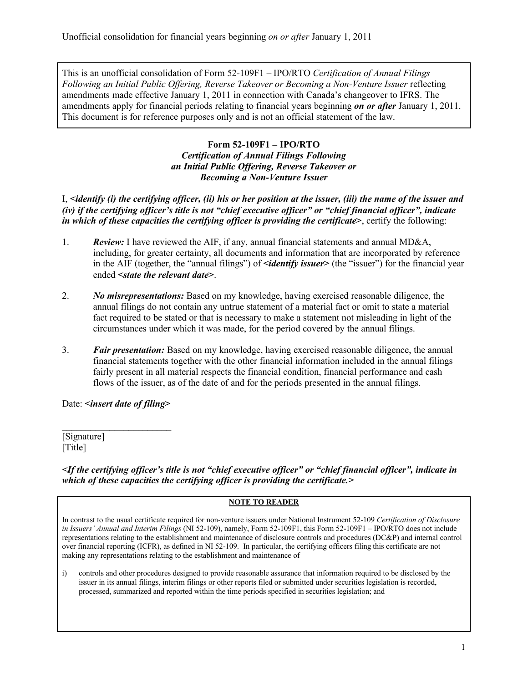This is an unofficial consolidation of Form 52-109F1 – IPO/RTO *Certification of Annual Filings Following an Initial Public Offering, Reverse Takeover or Becoming a Non-Venture Issuer* reflecting amendments made effective January 1, 2011 in connection with Canada's changeover to IFRS. The amendments apply for financial periods relating to financial years beginning *on or after* January 1, 2011. This document is for reference purposes only and is not an official statement of the law.

## **Form 52-109F1 – IPO/RTO** *Certification of Annual Filings Following an Initial Public Offering, Reverse Takeover or Becoming a Non-Venture Issuer*

I, **<***identify (i) the certifying officer, (ii) his or her position at the issuer, (iii) the name of the issuer and (iv) if the certifying officer's title is not "chief executive officer" or "chief financial officer", indicate in which of these capacities the certifying officer is providing the certificate***>**, certify the following:

- 1. *Review:* I have reviewed the AIF, if any, annual financial statements and annual MD&A, including, for greater certainty, all documents and information that are incorporated by reference in the AIF (together, the "annual filings") of *identify issuer* (the "issuer") for the financial year ended **<***state the relevant date***>**.
- 2. *No misrepresentations:* Based on my knowledge, having exercised reasonable diligence, the annual filings do not contain any untrue statement of a material fact or omit to state a material fact required to be stated or that is necessary to make a statement not misleading in light of the circumstances under which it was made, for the period covered by the annual filings.
- 3. *Fair presentation:* Based on my knowledge, having exercised reasonable diligence, the annual financial statements together with the other financial information included in the annual filings fairly present in all material respects the financial condition, financial performance and cash flows of the issuer, as of the date of and for the periods presented in the annual filings.

Date: **<***insert date of filing***>**

 $\mathcal{L}_\text{max}$  , where  $\mathcal{L}_\text{max}$ 

[Signature] [Title]

*<If the certifying officer's title is not "chief executive officer" or "chief financial officer", indicate in which of these capacities the certifying officer is providing the certificate.>* 

## **NOTE TO READER**

In contrast to the usual certificate required for non-venture issuers under National Instrument 52-109 *Certification of Disclosure in Issuers' Annual and Interim Filings* (NI 52-109), namely, Form 52-109F1, this Form 52-109F1 – IPO/RTO does not include representations relating to the establishment and maintenance of disclosure controls and procedures (DC&P) and internal control over financial reporting (ICFR), as defined in NI 52-109. In particular, the certifying officers filing this certificate are not making any representations relating to the establishment and maintenance of

i) controls and other procedures designed to provide reasonable assurance that information required to be disclosed by the issuer in its annual filings, interim filings or other reports filed or submitted under securities legislation is recorded, processed, summarized and reported within the time periods specified in securities legislation; and